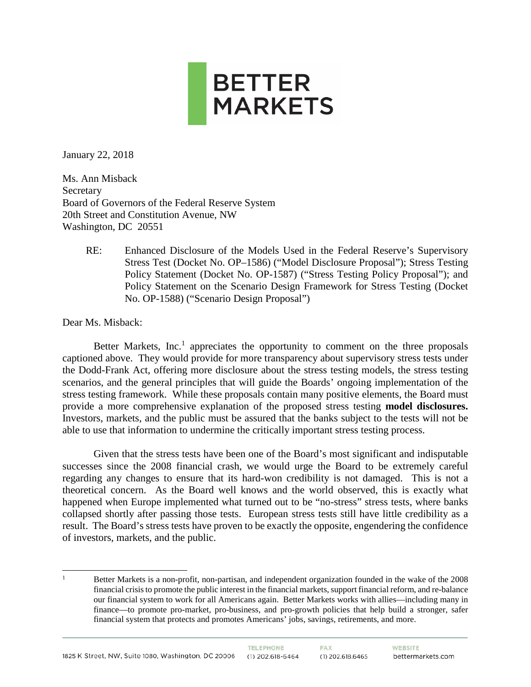

January 22, 2018

Ms. Ann Misback **Secretary** Board of Governors of the Federal Reserve System 20th Street and Constitution Avenue, NW Washington, DC 20551

> RE: Enhanced Disclosure of the Models Used in the Federal Reserve's Supervisory Stress Test (Docket No. OP–1586) ("Model Disclosure Proposal"); Stress Testing Policy Statement (Docket No. OP-1587) ("Stress Testing Policy Proposal"); and Policy Statement on the Scenario Design Framework for Stress Testing (Docket No. OP-1588) ("Scenario Design Proposal")

Dear Ms. Misback:

Better Markets,  $Inc<sup>1</sup>$  appreciates the opportunity to comment on the three proposals captioned above. They would provide for more transparency about supervisory stress tests under the Dodd-Frank Act, offering more disclosure about the stress testing models, the stress testing scenarios, and the general principles that will guide the Boards' ongoing implementation of the stress testing framework. While these proposals contain many positive elements, the Board must provide a more comprehensive explanation of the proposed stress testing **model disclosures.**  Investors, markets, and the public must be assured that the banks subject to the tests will not be able to use that information to undermine the critically important stress testing process.

Given that the stress tests have been one of the Board's most significant and indisputable successes since the 2008 financial crash, we would urge the Board to be extremely careful regarding any changes to ensure that its hard-won credibility is not damaged. This is not a theoretical concern. As the Board well knows and the world observed, this is exactly what happened when Europe implemented what turned out to be "no-stress" stress tests, where banks collapsed shortly after passing those tests. European stress tests still have little credibility as a result. The Board's stress tests have proven to be exactly the opposite, engendering the confidence of investors, markets, and the public.

 $\overline{a}$ 1 Better Markets is a non-profit, non-partisan, and independent organization founded in the wake of the 2008 financial crisis to promote the public interest in the financial markets, support financial reform, and re-balance our financial system to work for all Americans again. Better Markets works with allies—including many in finance—to promote pro-market, pro-business, and pro-growth policies that help build a stronger, safer financial system that protects and promotes Americans' jobs, savings, retirements, and more.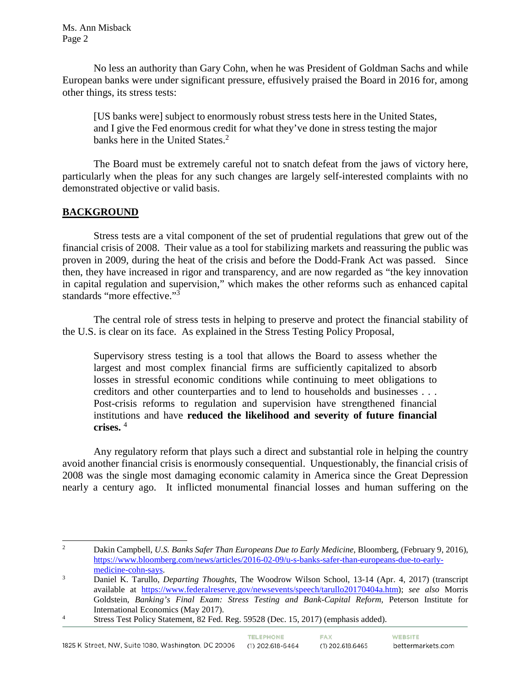No less an authority than Gary Cohn, when he was President of Goldman Sachs and while European banks were under significant pressure, effusively praised the Board in 2016 for, among other things, its stress tests:

[US banks were] subject to enormously robust stress tests here in the United States, and I give the Fed enormous credit for what they've done in stress testing the major banks here in the United States.<sup>2</sup>

The Board must be extremely careful not to snatch defeat from the jaws of victory here, particularly when the pleas for any such changes are largely self-interested complaints with no demonstrated objective or valid basis.

## **BACKGROUND**

Stress tests are a vital component of the set of prudential regulations that grew out of the financial crisis of 2008. Their value as a tool for stabilizing markets and reassuring the public was proven in 2009, during the heat of the crisis and before the Dodd-Frank Act was passed. Since then, they have increased in rigor and transparency, and are now regarded as "the key innovation in capital regulation and supervision," which makes the other reforms such as enhanced capital standards "more effective."<sup>3</sup>

The central role of stress tests in helping to preserve and protect the financial stability of the U.S. is clear on its face. As explained in the Stress Testing Policy Proposal,

Supervisory stress testing is a tool that allows the Board to assess whether the largest and most complex financial firms are sufficiently capitalized to absorb losses in stressful economic conditions while continuing to meet obligations to creditors and other counterparties and to lend to households and businesses . . . Post-crisis reforms to regulation and supervision have strengthened financial institutions and have **reduced the likelihood and severity of future financial crises.** <sup>4</sup>

Any regulatory reform that plays such a direct and substantial role in helping the country avoid another financial crisis is enormously consequential. Unquestionably, the financial crisis of 2008 was the single most damaging economic calamity in America since the Great Depression nearly a century ago. It inflicted monumental financial losses and human suffering on the

 $\sqrt{2}$ <sup>2</sup> Dakin Campbell, *U.S. Banks Safer Than Europeans Due to Early Medicine*, Bloomberg, (February 9, 2016), [https://www.bloomberg.com/news/articles/2016-02-09/u-s-banks-safer-than-europeans-due-to-early](https://www.bloomberg.com/news/articles/2016-02-09/u-s-banks-safer-than-europeans-due-to-early-medicine-cohn-says)[medicine-cohn-says.](https://www.bloomberg.com/news/articles/2016-02-09/u-s-banks-safer-than-europeans-due-to-early-medicine-cohn-says)

<sup>3</sup> Daniel K. Tarullo, *Departing Thoughts*, The Woodrow Wilson School, 13-14 (Apr. 4, 2017) (transcript available at [https://www.federalreserve.gov/newsevents/speech/tarullo20170404a.htm\)](https://www.federalreserve.gov/newsevents/speech/tarullo20170404a.htm); *see also* Morris Goldstein, *Banking's Final Exam: Stress Testing and Bank-Capital Reform,* Peterson Institute for International Economics (May 2017).<br>Stress Test Policy Statement, 82 Fed. Reg. 59528 (Dec. 15, 2017) (emphasis added).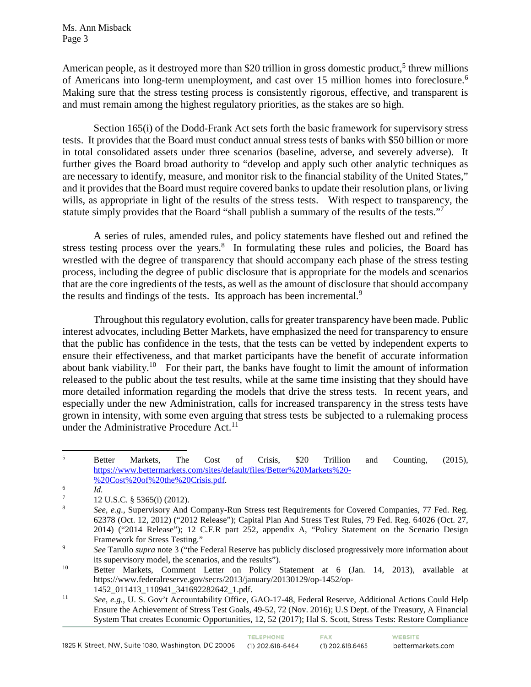American people, as it destroyed more than \$20 trillion in gross domestic product,<sup>5</sup> threw millions of Americans into long-term unemployment, and cast over 15 million homes into foreclosure.<sup>6</sup> Making sure that the stress testing process is consistently rigorous, effective, and transparent is and must remain among the highest regulatory priorities, as the stakes are so high.

Section 165(i) of the Dodd-Frank Act sets forth the basic framework for supervisory stress tests. It provides that the Board must conduct annual stress tests of banks with \$50 billion or more in total consolidated assets under three scenarios (baseline, adverse, and severely adverse). It further gives the Board broad authority to "develop and apply such other analytic techniques as are necessary to identify, measure, and monitor risk to the financial stability of the United States," and it provides that the Board must require covered banks to update their resolution plans, or living wills, as appropriate in light of the results of the stress tests. With respect to transparency, the statute simply provides that the Board "shall publish a summary of the results of the tests."<sup>7</sup>

A series of rules, amended rules, and policy statements have fleshed out and refined the stress testing process over the years. $8\,$  In formulating these rules and policies, the Board has wrestled with the degree of transparency that should accompany each phase of the stress testing process, including the degree of public disclosure that is appropriate for the models and scenarios that are the core ingredients of the tests, as well as the amount of disclosure that should accompany the results and findings of the tests. Its approach has been incremental.<sup>9</sup>

Throughout this regulatory evolution, calls for greater transparency have been made. Public interest advocates, including Better Markets, have emphasized the need for transparency to ensure that the public has confidence in the tests, that the tests can be vetted by independent experts to ensure their effectiveness, and that market participants have the benefit of accurate information about bank viability.<sup>10</sup> For their part, the banks have fought to limit the amount of information released to the public about the test results, while at the same time insisting that they should have more detailed information regarding the models that drive the stress tests. In recent years, and especially under the new Administration, calls for increased transparency in the stress tests have grown in intensity, with some even arguing that stress tests be subjected to a rulemaking process under the Administrative Procedure Act.<sup>11</sup>

 $\mathfrak{s}$  $5$  Better Markets, The Cost of Crisis, \$20 Trillion and Counting, (2015), [https://www.bettermarkets.com/sites/default/files/Better%20Markets%20-](https://www.bettermarkets.com/sites/default/files/Better%20Markets%20-%20Cost%20of%20the%20Crisis.pdf) [%20Cost%20of%20the%20Crisis.pdf.](https://www.bettermarkets.com/sites/default/files/Better%20Markets%20-%20Cost%20of%20the%20Crisis.pdf)

<sup>6</sup>  $\frac{6}{7}$  *Id.* 

 $^{7}$  12 U.S.C. § 5365(i) (2012).

<sup>8</sup> *See, e.g.,* Supervisory And Company-Run Stress test Requirements for Covered Companies, 77 Fed. Reg. 62378 (Oct. 12, 2012) ("2012 Release"); Capital Plan And Stress Test Rules, 79 Fed. Reg. 64026 (Oct. 27, 2014) ("2014 Release"); 12 C.F.R part 252, appendix A, "Policy Statement on the Scenario Design Framework for Stress Testing." 9 *See* Tarullo *supra* note 3 ("the Federal Reserve has publicly disclosed progressively more information about

its supervisory model, the scenarios, and the results").

<sup>10</sup> Better Markets, Comment Letter on Policy Statement at 6 (Jan. 14, 2013), available at https://www.federalreserve.gov/secrs/2013/january/20130129/op-1452/op-

<sup>1452</sup>\_011413\_110941\_341692282642\_1.pdf. 11 *See, e.g.,* U. S. Gov't Accountability Office, GAO-17-48, Federal Reserve, Additional Actions Could Help Ensure the Achievement of Stress Test Goals, 49-52, 72 (Nov. 2016); U.S Dept. of the Treasury, A Financial System That creates Economic Opportunities, 12, 52 (2017); Hal S. Scott, Stress Tests: Restore Compliance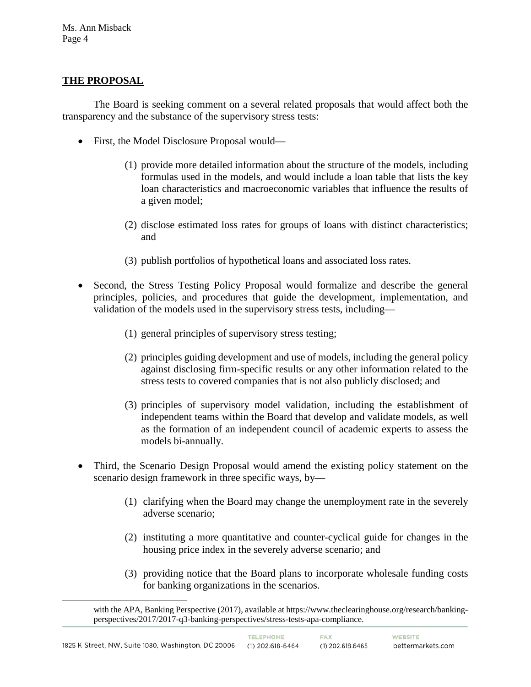### **THE PROPOSAL**

 $\overline{a}$ 

The Board is seeking comment on a several related proposals that would affect both the transparency and the substance of the supervisory stress tests:

- First, the Model Disclosure Proposal would—
	- (1) provide more detailed information about the structure of the models, including formulas used in the models, and would include a loan table that lists the key loan characteristics and macroeconomic variables that influence the results of a given model;
	- (2) disclose estimated loss rates for groups of loans with distinct characteristics; and
	- (3) publish portfolios of hypothetical loans and associated loss rates.
- Second, the Stress Testing Policy Proposal would formalize and describe the general principles, policies, and procedures that guide the development, implementation, and validation of the models used in the supervisory stress tests, including—
	- (1) general principles of supervisory stress testing;
	- (2) principles guiding development and use of models, including the general policy against disclosing firm-specific results or any other information related to the stress tests to covered companies that is not also publicly disclosed; and
	- (3) principles of supervisory model validation, including the establishment of independent teams within the Board that develop and validate models, as well as the formation of an independent council of academic experts to assess the models bi-annually.
- Third, the Scenario Design Proposal would amend the existing policy statement on the scenario design framework in three specific ways, by—
	- (1) clarifying when the Board may change the unemployment rate in the severely adverse scenario;
	- (2) instituting a more quantitative and counter-cyclical guide for changes in the housing price index in the severely adverse scenario; and
	- (3) providing notice that the Board plans to incorporate wholesale funding costs for banking organizations in the scenarios.

with the APA, Banking Perspective (2017), available at https://www.theclearinghouse.org/research/bankingperspectives/2017/2017-q3-banking-perspectives/stress-tests-apa-compliance.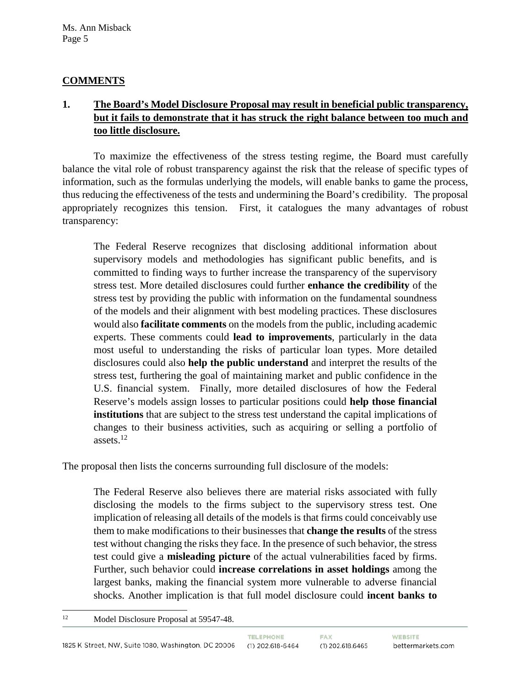# **COMMENTS**

# **1. The Board's Model Disclosure Proposal may result in beneficial public transparency, but it fails to demonstrate that it has struck the right balance between too much and too little disclosure.**

To maximize the effectiveness of the stress testing regime, the Board must carefully balance the vital role of robust transparency against the risk that the release of specific types of information, such as the formulas underlying the models, will enable banks to game the process, thus reducing the effectiveness of the tests and undermining the Board's credibility. The proposal appropriately recognizes this tension. First, it catalogues the many advantages of robust transparency:

The Federal Reserve recognizes that disclosing additional information about supervisory models and methodologies has significant public benefits, and is committed to finding ways to further increase the transparency of the supervisory stress test. More detailed disclosures could further **enhance the credibility** of the stress test by providing the public with information on the fundamental soundness of the models and their alignment with best modeling practices. These disclosures would also **facilitate comments** on the models from the public, including academic experts. These comments could **lead to improvements**, particularly in the data most useful to understanding the risks of particular loan types. More detailed disclosures could also **help the public understand** and interpret the results of the stress test, furthering the goal of maintaining market and public confidence in the U.S. financial system. Finally, more detailed disclosures of how the Federal Reserve's models assign losses to particular positions could **help those financial institutions** that are subject to the stress test understand the capital implications of changes to their business activities, such as acquiring or selling a portfolio of assets.12

The proposal then lists the concerns surrounding full disclosure of the models:

The Federal Reserve also believes there are material risks associated with fully disclosing the models to the firms subject to the supervisory stress test. One implication of releasing all details of the models is that firms could conceivably use them to make modifications to their businesses that **change the results** of the stress test without changing the risks they face. In the presence of such behavior, the stress test could give a **misleading picture** of the actual vulnerabilities faced by firms. Further, such behavior could **increase correlations in asset holdings** among the largest banks, making the financial system more vulnerable to adverse financial shocks. Another implication is that full model disclosure could **incent banks to** 

 $12$ Model Disclosure Proposal at 59547-48.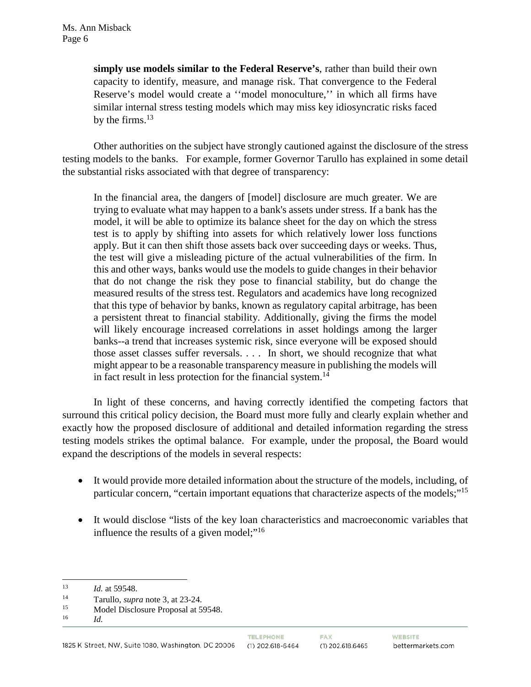**simply use models similar to the Federal Reserve's**, rather than build their own capacity to identify, measure, and manage risk. That convergence to the Federal Reserve's model would create a ''model monoculture,'' in which all firms have similar internal stress testing models which may miss key idiosyncratic risks faced by the firms. $13$ 

Other authorities on the subject have strongly cautioned against the disclosure of the stress testing models to the banks. For example, former Governor Tarullo has explained in some detail the substantial risks associated with that degree of transparency:

In the financial area, the dangers of [model] disclosure are much greater. We are trying to evaluate what may happen to a bank's assets under stress. If a bank has the model, it will be able to optimize its balance sheet for the day on which the stress test is to apply by shifting into assets for which relatively lower loss functions apply. But it can then shift those assets back over succeeding days or weeks. Thus, the test will give a misleading picture of the actual vulnerabilities of the firm. In this and other ways, banks would use the models to guide changes in their behavior that do not change the risk they pose to financial stability, but do change the measured results of the stress test. Regulators and academics have long recognized that this type of behavior by banks, known as regulatory capital arbitrage, has been a persistent threat to financial stability. Additionally, giving the firms the model will likely encourage increased correlations in asset holdings among the larger banks--a trend that increases systemic risk, since everyone will be exposed should those asset classes suffer reversals. . . . In short, we should recognize that what might appear to be a reasonable transparency measure in publishing the models will in fact result in less protection for the financial system.<sup>14</sup>

In light of these concerns, and having correctly identified the competing factors that surround this critical policy decision, the Board must more fully and clearly explain whether and exactly how the proposed disclosure of additional and detailed information regarding the stress testing models strikes the optimal balance. For example, under the proposal, the Board would expand the descriptions of the models in several respects:

- It would provide more detailed information about the structure of the models, including, of particular concern, "certain important equations that characterize aspects of the models;"15
- It would disclose "lists of the key loan characteristics and macroeconomic variables that influence the results of a given model;"<sup>16</sup>

<sup>13</sup>  $13$  *Id.* at 59548.

<sup>&</sup>lt;sup>14</sup> Tarullo, *supra* note 3, at 23-24.<br>
<sup>15</sup> Model Disclosure Proposal at 59548.

<sup>16</sup> *Id.*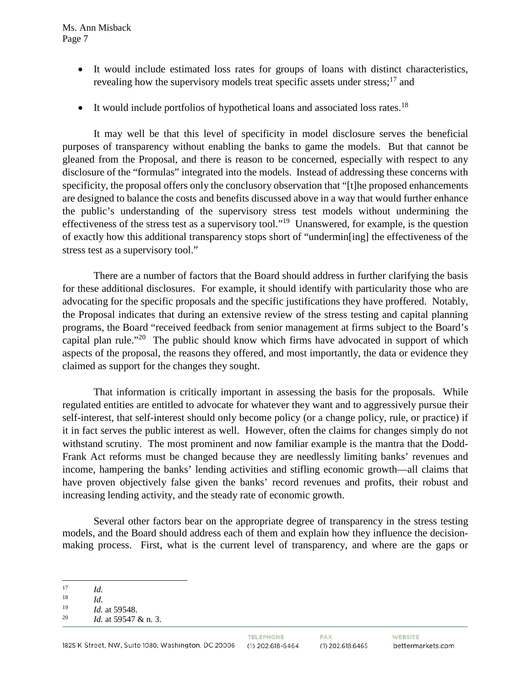- It would include estimated loss rates for groups of loans with distinct characteristics, revealing how the supervisory models treat specific assets under stress;<sup>17</sup> and
- It would include portfolios of hypothetical loans and associated loss rates.<sup>18</sup>

It may well be that this level of specificity in model disclosure serves the beneficial purposes of transparency without enabling the banks to game the models. But that cannot be gleaned from the Proposal, and there is reason to be concerned, especially with respect to any disclosure of the "formulas" integrated into the models. Instead of addressing these concerns with specificity, the proposal offers only the conclusory observation that "[t]he proposed enhancements are designed to balance the costs and benefits discussed above in a way that would further enhance the public's understanding of the supervisory stress test models without undermining the effectiveness of the stress test as a supervisory tool."19 Unanswered, for example, is the question of exactly how this additional transparency stops short of "undermin[ing] the effectiveness of the stress test as a supervisory tool."

There are a number of factors that the Board should address in further clarifying the basis for these additional disclosures. For example, it should identify with particularity those who are advocating for the specific proposals and the specific justifications they have proffered. Notably, the Proposal indicates that during an extensive review of the stress testing and capital planning programs, the Board "received feedback from senior management at firms subject to the Board's capital plan rule."<sup>20</sup> The public should know which firms have advocated in support of which aspects of the proposal, the reasons they offered, and most importantly, the data or evidence they claimed as support for the changes they sought.

That information is critically important in assessing the basis for the proposals. While regulated entities are entitled to advocate for whatever they want and to aggressively pursue their self-interest, that self-interest should only become policy (or a change policy, rule, or practice) if it in fact serves the public interest as well. However, often the claims for changes simply do not withstand scrutiny. The most prominent and now familiar example is the mantra that the Dodd-Frank Act reforms must be changed because they are needlessly limiting banks' revenues and income, hampering the banks' lending activities and stifling economic growth—all claims that have proven objectively false given the banks' record revenues and profits, their robust and increasing lending activity, and the steady rate of economic growth.

Several other factors bear on the appropriate degree of transparency in the stress testing models, and the Board should address each of them and explain how they influence the decisionmaking process. First, what is the current level of transparency, and where are the gaps or

 $\overline{a}$  $\frac{17}{18}$  *Id.* 

 $\frac{18}{19}$  *Id.* 

 $\frac{19}{20}$  *Id.* at 59548.

Id. at 59547 & n. 3.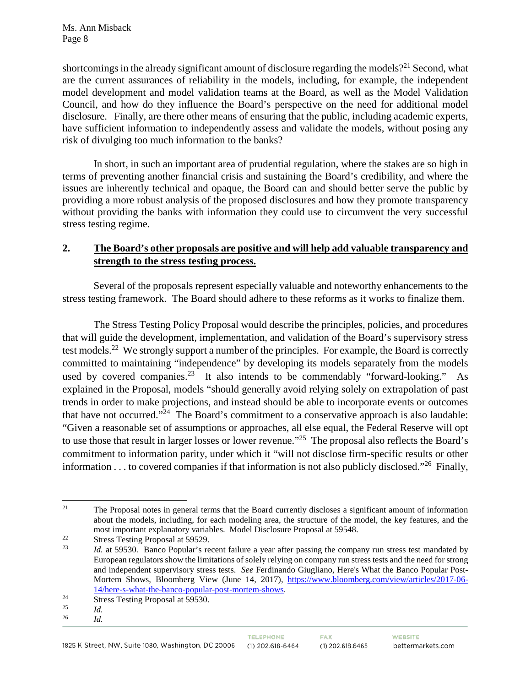shortcomings in the already significant amount of disclosure regarding the models?<sup>21</sup> Second, what are the current assurances of reliability in the models, including, for example, the independent model development and model validation teams at the Board, as well as the Model Validation Council, and how do they influence the Board's perspective on the need for additional model disclosure. Finally, are there other means of ensuring that the public, including academic experts, have sufficient information to independently assess and validate the models, without posing any risk of divulging too much information to the banks?

In short, in such an important area of prudential regulation, where the stakes are so high in terms of preventing another financial crisis and sustaining the Board's credibility, and where the issues are inherently technical and opaque, the Board can and should better serve the public by providing a more robust analysis of the proposed disclosures and how they promote transparency without providing the banks with information they could use to circumvent the very successful stress testing regime.

# **2. The Board's other proposals are positive and will help add valuable transparency and strength to the stress testing process.**

Several of the proposals represent especially valuable and noteworthy enhancements to the stress testing framework. The Board should adhere to these reforms as it works to finalize them.

The Stress Testing Policy Proposal would describe the principles, policies, and procedures that will guide the development, implementation, and validation of the Board's supervisory stress test models.22 We strongly support a number of the principles. For example, the Board is correctly committed to maintaining "independence" by developing its models separately from the models used by covered companies.<sup>23</sup> It also intends to be commendably "forward-looking." As explained in the Proposal, models "should generally avoid relying solely on extrapolation of past trends in order to make projections, and instead should be able to incorporate events or outcomes that have not occurred."<sup>24</sup> The Board's commitment to a conservative approach is also laudable: "Given a reasonable set of assumptions or approaches, all else equal, the Federal Reserve will opt to use those that result in larger losses or lower revenue."<sup>25</sup> The proposal also reflects the Board's commitment to information parity, under which it "will not disclose firm-specific results or other information . . . to covered companies if that information is not also publicly disclosed."26 Finally,

 $21$ <sup>21</sup> The Proposal notes in general terms that the Board currently discloses a significant amount of information about the models, including, for each modeling area, the structure of the model, the key features, and the most important explanatory variables. Model Disclosure Proposal at 59548.<br>
<sup>22</sup> Stress Testing Proposal at 59529.<br> *14* at 59530. Banco Popular's recent failure a vear after passing the compa

Id. at 59530. Banco Popular's recent failure a year after passing the company run stress test mandated by European regulators show the limitations of solely relying on company run stress tests and the need for strong and independent supervisory stress tests. *See* Ferdinando Giugliano, Here's What the Banco Popular PostMortem Shows, Bloomberg View (June 14, 2017), [https://www.bloomberg.com/view/articles/2017-06-](https://www.bloomberg.com/view/articles/2017-06-14/here-s-what-the-banco-popular-post-mortem-shows) [14/here-s-what-the-banco-popular-post-mortem-shows.](https://www.bloomberg.com/view/articles/2017-06-14/here-s-what-the-banco-popular-post-mortem-shows)

<sup>&</sup>lt;sup>24</sup> Stress Testing Proposal at 59530.

 $\frac{25}{26}$  *Id.* <sup>26</sup> *Id.*